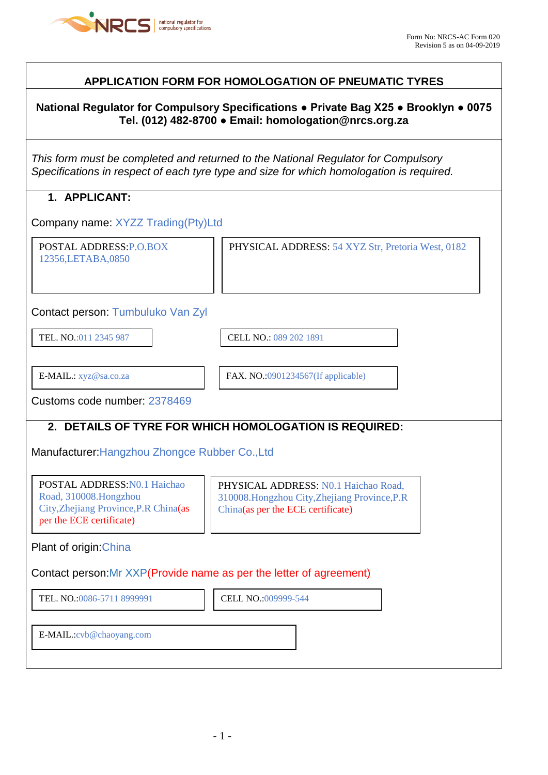

## **APPLICATION FORM FOR HOMOLOGATION OF PNEUMATIC TYRES**

### **National Regulator for Compulsory Specifications ● Private Bag X25 ● Brooklyn ● 0075 Tel. (012) 482-8700 ● Email: homologation@nrcs.org.za**

*This form must be completed and returned to the National Regulator for Compulsory Specifications in respect of each tyre type and size for which homologation is required.*

## **1. APPLICANT:**

Company name: XYZZ Trading(Pty)Ltd

POSTAL ADDRESS:P.O.BOX 12356,LETABA,0850

PHYSICAL ADDRESS: 54 XYZ Str, Pretoria West, 0182

Contact person: Tumbuluko Van Zyl

TEL. NO.:011 2345 987 CELL NO.: 089 202 1891

 $\overline{\phantom{a}}$ 

 $\overline{\phantom{a}}$ 

E-MAIL.: xyz@sa.co.za FAX. NO.:0901234567(If applicable)

Customs code number: 2378469

### **2. DETAILS OF TYRE FOR WHICH HOMOLOGATION IS REQUIRED:**

Manufacturer:Hangzhou Zhongce Rubber Co.,Ltd

POSTAL ADDRESS:N0.1 Haichao Road, 310008.Hongzhou City,Zhejiang Province,P.R China(as per the ECE certificate)

PHYSICAL ADDRESS: N0.1 Haichao Road, 310008.Hongzhou City,Zhejiang Province,P.R China(as per the ECE certificate)

Plant of origin:China

Contact person:Mr XXP(Provide name as per the letter of agreement)

TEL. NO.:0086-5711 8999991 **CELL NO.:009999-544** 

E-MAIL.:cvb@chaoyang.com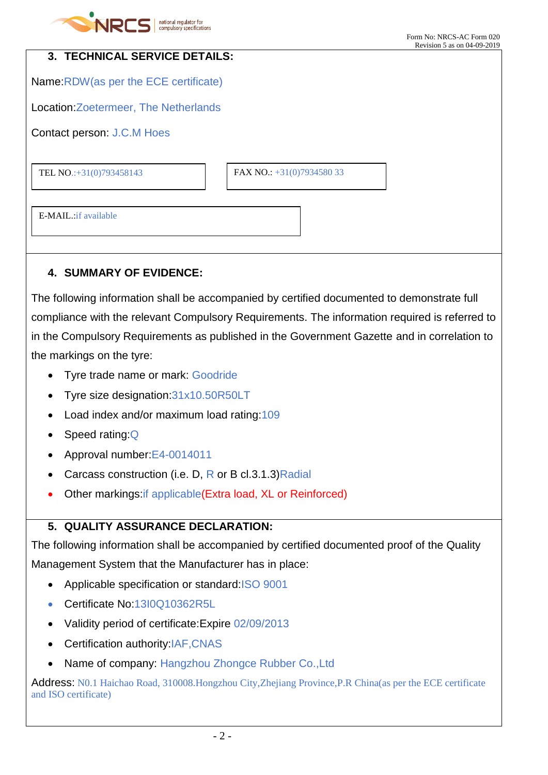

| 3. TECHNICAL SERVICE DETAILS:          |                           |  |
|----------------------------------------|---------------------------|--|
| Name: RDW (as per the ECE certificate) |                           |  |
| Location: Zoetermeer, The Netherlands  |                           |  |
| Contact person: J.C.M Hoes             |                           |  |
|                                        |                           |  |
| TEL NO.:+31(0)793458143                | FAX NO.: +31(0)7934580 33 |  |
|                                        |                           |  |
| E-MAIL: if available                   |                           |  |
|                                        |                           |  |

# **4. SUMMARY OF EVIDENCE:**

The following information shall be accompanied by certified documented to demonstrate full compliance with the relevant Compulsory Requirements. The information required is referred to in the Compulsory Requirements as published in the Government Gazette and in correlation to the markings on the tyre:

- Tyre trade name or mark: Goodride
- Tyre size designation:31x10.50R50LT
- Load index and/or maximum load rating: 109
- Speed rating: Q
- Approval number:E4-0014011
- Carcass construction (i.e. D, R or B cl.3.1.3) Radial
- Other markings:if applicable(Extra load, XL or Reinforced)

# **5. QUALITY ASSURANCE DECLARATION:**

The following information shall be accompanied by certified documented proof of the Quality Management System that the Manufacturer has in place:

- Applicable specification or standard:ISO 9001
- Certificate No:13I0Q10362R5L
- Validity period of certificate:Expire 02/09/2013
- Certification authority:IAF,CNAS
- Name of company: Hangzhou Zhongce Rubber Co.,Ltd

Address: N0.1 Haichao Road, 310008.Hongzhou City,Zhejiang Province,P.R China(as per the ECE certificate and ISO certificate)